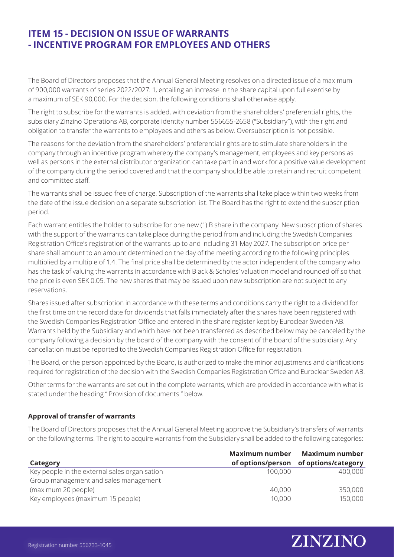# **ITEM 15 - DECISION ON ISSUE OF WARRANTS - INCENTIVE PROGRAM FOR EMPLOYEES AND OTHERS**

The Board of Directors proposes that the Annual General Meeting resolves on a directed issue of a maximum of 900,000 warrants of series 2022/2027: 1, entailing an increase in the share capital upon full exercise by a maximum of SEK 90,000. For the decision, the following conditions shall otherwise apply.

The right to subscribe for the warrants is added, with deviation from the shareholders' preferential rights, the subsidiary Zinzino Operations AB, corporate identity number 556655-2658 ("Subsidiary"), with the right and obligation to transfer the warrants to employees and others as below. Oversubscription is not possible.

The reasons for the deviation from the shareholders' preferential rights are to stimulate shareholders in the company through an incentive program whereby the company's management, employees and key persons as well as persons in the external distributor organization can take part in and work for a positive value development of the company during the period covered and that the company should be able to retain and recruit competent and committed staff.

The warrants shall be issued free of charge. Subscription of the warrants shall take place within two weeks from the date of the issue decision on a separate subscription list. The Board has the right to extend the subscription period.

Each warrant entitles the holder to subscribe for one new (1) B share in the company. New subscription of shares with the support of the warrants can take place during the period from and including the Swedish Companies Registration Office's registration of the warrants up to and including 31 May 2027. The subscription price per share shall amount to an amount determined on the day of the meeting according to the following principles: multiplied by a multiple of 1.4. The final price shall be determined by the actor independent of the company who has the task of valuing the warrants in accordance with Black & Scholes' valuation model and rounded off so that the price is even SEK 0.05. The new shares that may be issued upon new subscription are not subject to any reservations.

Shares issued after subscription in accordance with these terms and conditions carry the right to a dividend for the first time on the record date for dividends that falls immediately after the shares have been registered with the Swedish Companies Registration Office and entered in the share register kept by Euroclear Sweden AB. Warrants held by the Subsidiary and which have not been transferred as described below may be canceled by the company following a decision by the board of the company with the consent of the board of the subsidiary. Any cancellation must be reported to the Swedish Companies Registration Office for registration.

The Board, or the person appointed by the Board, is authorized to make the minor adjustments and clarifications required for registration of the decision with the Swedish Companies Registration Office and Euroclear Sweden AB.

Other terms for the warrants are set out in the complete warrants, which are provided in accordance with what is stated under the heading " Provision of documents " below.

## **Approval of transfer of warrants**

The Board of Directors proposes that the Annual General Meeting approve the Subsidiary's transfers of warrants on the following terms. The right to acquire warrants from the Subsidiary shall be added to the following categories:

|                                               | Maximum number | <b>Maximum number</b>                 |
|-----------------------------------------------|----------------|---------------------------------------|
| Category                                      |                | of options/person of options/category |
| Key people in the external sales organisation | 100,000        | 400,000                               |
| Group management and sales management         |                |                                       |
| (maximum 20 people)                           | 40,000         | 350,000                               |
| Key employees (maximum 15 people)             | 10,000         | 150,000                               |

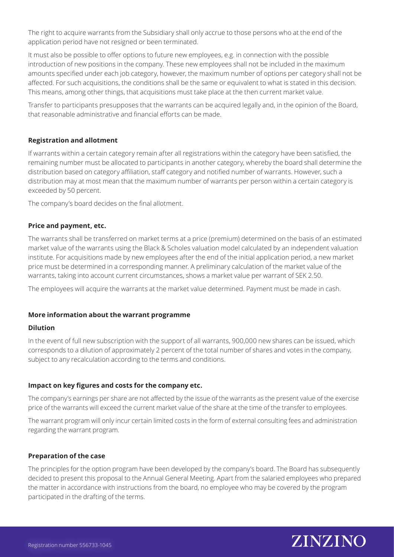The right to acquire warrants from the Subsidiary shall only accrue to those persons who at the end of the application period have not resigned or been terminated.

It must also be possible to offer options to future new employees, e.g. in connection with the possible introduction of new positions in the company. These new employees shall not be included in the maximum amounts specified under each job category, however, the maximum number of options per category shall not be affected. For such acquisitions, the conditions shall be the same or equivalent to what is stated in this decision. This means, among other things, that acquisitions must take place at the then current market value.

Transfer to participants presupposes that the warrants can be acquired legally and, in the opinion of the Board, that reasonable administrative and financial efforts can be made.

## **Registration and allotment**

If warrants within a certain category remain after all registrations within the category have been satisfied, the remaining number must be allocated to participants in another category, whereby the board shall determine the distribution based on category affiliation, staff category and notified number of warrants. However, such a distribution may at most mean that the maximum number of warrants per person within a certain category is exceeded by 50 percent.

The company's board decides on the final allotment.

### **Price and payment, etc.**

The warrants shall be transferred on market terms at a price (premium) determined on the basis of an estimated market value of the warrants using the Black & Scholes valuation model calculated by an independent valuation institute. For acquisitions made by new employees after the end of the initial application period, a new market price must be determined in a corresponding manner. A preliminary calculation of the market value of the warrants, taking into account current circumstances, shows a market value per warrant of SEK 2.50.

The employees will acquire the warrants at the market value determined. Payment must be made in cash.

#### **More information about the warrant programme**

#### **Dilution**

In the event of full new subscription with the support of all warrants, 900,000 new shares can be issued, which corresponds to a dilution of approximately 2 percent of the total number of shares and votes in the company, subject to any recalculation according to the terms and conditions.

#### **Impact on key figures and costs for the company etc.**

The company's earnings per share are not affected by the issue of the warrants as the present value of the exercise price of the warrants will exceed the current market value of the share at the time of the transfer to employees.

The warrant program will only incur certain limited costs in the form of external consulting fees and administration regarding the warrant program.

#### **Preparation of the case**

The principles for the option program have been developed by the company's board. The Board has subsequently decided to present this proposal to the Annual General Meeting. Apart from the salaried employees who prepared the matter in accordance with instructions from the board, no employee who may be covered by the program participated in the drafting of the terms.